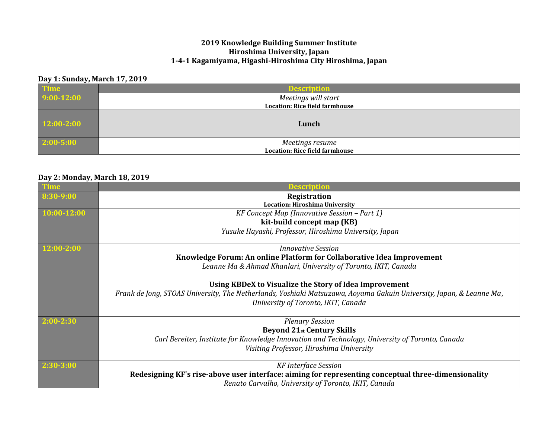#### **2019 Knowledge Building Summer Institute Hiroshima University, Japan 1-4-1 Kagamiyama, Higashi-Hiroshima City Hiroshima, Japan**

### **Day 1: Sunday, March 17, 2019**

| <b>Time</b>   | <b>Description</b>                    |
|---------------|---------------------------------------|
| $9:00-12:00$  | Meetings will start                   |
|               | <b>Location: Rice field farmhouse</b> |
| 12:00-2:00    | Lunch                                 |
| $2:00 - 5:00$ | Meetings resume                       |
|               | <b>Location: Rice field farmhouse</b> |

### **Day 2: Monday, March 18, 2019**

|                | escription                                                                                                          |
|----------------|---------------------------------------------------------------------------------------------------------------------|
| 8:30-9:00      | Registration                                                                                                        |
|                | <b>Location: Hiroshima University</b>                                                                               |
| 10:00-12:00    | KF Concept Map (Innovative Session – Part 1)                                                                        |
|                | kit-build concept map (KB)                                                                                          |
|                | Yusuke Hayashi, Professor, Hiroshima University, Japan                                                              |
| $12:00 - 2:00$ | Innovative Session                                                                                                  |
|                | Knowledge Forum: An online Platform for Collaborative Idea Improvement                                              |
|                | Leanne Ma & Ahmad Khanlari, University of Toronto, IKIT, Canada                                                     |
|                | Using KBDeX to Visualize the Story of Idea Improvement                                                              |
|                | Frank de Jong, STOAS University, The Netherlands, Yoshiaki Matsuzawa, Aoyama Gakuin University, Japan, & Leanne Ma, |
|                | University of Toronto, IKIT, Canada                                                                                 |
| 2:00-2:30      | <b>Plenary Session</b>                                                                                              |
|                | <b>Beyond 21st Century Skills</b>                                                                                   |
|                | Carl Bereiter, Institute for Knowledge Innovation and Technology, University of Toronto, Canada                     |
|                | Visiting Professor, Hiroshima University                                                                            |
| $2:30-3:00$    | <b>KF</b> Interface Session                                                                                         |
|                | Redesigning KF's rise-above user interface: aiming for representing conceptual three-dimensionality                 |
|                | Renato Carvalho, University of Toronto, IKIT, Canada                                                                |